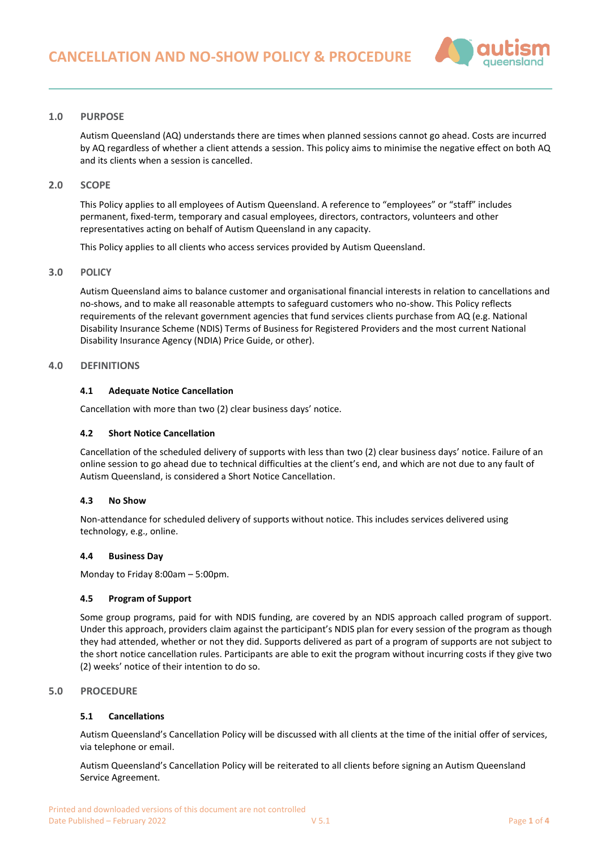

# **1.0 PURPOSE**

Autism Queensland (AQ) understands there are times when planned sessions cannot go ahead. Costs are incurred by AQ regardless of whether a client attends a session. This policy aims to minimise the negative effect on both AQ and its clients when a session is cancelled.

## **2.0 SCOPE**

This Policy applies to all employees of Autism Queensland. A reference to "employees" or "staff" includes permanent, fixed-term, temporary and casual employees, directors, contractors, volunteers and other representatives acting on behalf of Autism Queensland in any capacity.

This Policy applies to all clients who access services provided by Autism Queensland.

## **3.0 POLICY**

Autism Queensland aims to balance customer and organisational financial interests in relation to cancellations and no-shows, and to make all reasonable attempts to safeguard customers who no-show. This Policy reflects requirements of the relevant government agencies that fund services clients purchase from AQ (e.g. National Disability Insurance Scheme (NDIS) Terms of Business for Registered Providers and the most current National Disability Insurance Agency (NDIA) Price Guide, or other).

## <span id="page-0-0"></span>**4.0 DEFINITIONS**

#### **4.1 Adequate Notice Cancellation**

Cancellation with more than two (2) clear business days' notice.

## <span id="page-0-1"></span>**4.2 Short Notice Cancellation**

Cancellation of the scheduled delivery of supports with less than two (2) clear business days' notice. Failure of an online session to go ahead due to technical difficulties at the client's end, and which are not due to any fault of Autism Queensland, is considered a Short Notice Cancellation.

#### <span id="page-0-2"></span>**4.3 No Show**

Non-attendance for scheduled delivery of supports without notice. This includes services delivered using technology, e.g., online.

#### **4.4 Business Day**

Monday to Friday 8:00am – 5:00pm.

## **4.5 Program of Support**

Some group programs, paid for with NDIS funding, are covered by an NDIS approach called program of support. Under this approach, providers claim against the participant's NDIS plan for every session of the program as though they had attended, whether or not they did. Supports delivered as part of a program of supports are not subject to the short notice cancellation rules. Participants are able to exit the program without incurring costs if they give two (2) weeks' notice of their intention to do so.

# **5.0 PROCEDURE**

## **5.1 Cancellations**

Autism Queensland's Cancellation Policy will be discussed with all clients at the time of the initial offer of services, via telephone or email.

Autism Queensland's Cancellation Policy will be reiterated to all clients before signing an Autism Queensland Service Agreement.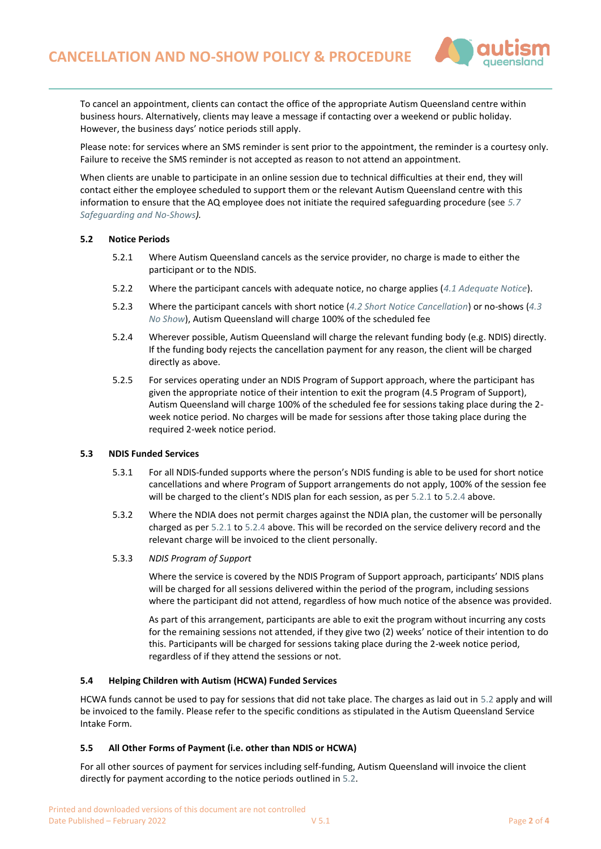

To cancel an appointment, clients can contact the office of the appropriate Autism Queensland centre within business hours. Alternatively, clients may leave a message if contacting over a weekend or public holiday. However, the business days' notice periods still apply.

Please note: for services where an SMS reminder is sent prior to the appointment, the reminder is a courtesy only. Failure to receive the SMS reminder is not accepted as reason to not attend an appointment.

When clients are unable to participate in an online session due to technical difficulties at their end, they will contact either the employee scheduled to support them or the relevant Autism Queensland centre with this information to ensure that the AQ employee does not initiate the required safeguarding procedure (see *[5.7](#page-2-0)  [Safeguarding and No-Shows\)](#page-2-0).*

## <span id="page-1-0"></span>**5.2 Notice Periods**

- 5.2.1 Where Autism Queensland cancels as the service provider, no charge is made to either the participant or to the NDIS.
- 5.2.2 Where the participant cancels with adequate notice, no charge applies (*[4.1 Adequate Notice](#page-0-0)*).
- 5.2.3 Where the participant cancels with short notice (*[4.2 Short Notice Cancellation](#page-0-1)*) or no-shows (*[4.3](#page-0-2)  [No Show](#page-0-2)*), Autism Queensland will charge 100% of the scheduled fee
- 5.2.4 Wherever possible, Autism Queensland will charge the relevant funding body (e.g. NDIS) directly. If the funding body rejects the cancellation payment for any reason, the client will be charged directly as above.
- 5.2.5 For services operating under an NDIS Program of Support approach, where the participant has given the appropriate notice of their intention to exit the program (4.5 Program of Support), Autism Queensland will charge 100% of the scheduled fee for sessions taking place during the 2 week notice period. No charges will be made for sessions after those taking place during the required 2-week notice period.

## **5.3 NDIS Funded Services**

- 5.3.1 For all NDIS-funded supports where the person's NDIS funding is able to be used for short notice cancellations and where Program of Support arrangements do not apply, 100% of the session fee will be charged to the client's NDIS plan for each session, as pe[r 5.2.1 t](#page-1-0)o [5.2.4](#page-1-0) above.
- 5.3.2 Where the NDIA does not permit charges against the NDIA plan, the customer will be personally charged as pe[r 5.2.1 to 5.2.4](#page-1-0) above. This will be recorded on the service delivery record and the relevant charge will be invoiced to the client personally.

## 5.3.3 *NDIS Program of Support*

Where the service is covered by the NDIS Program of Support approach, participants' NDIS plans will be charged for all sessions delivered within the period of the program, including sessions where the participant did not attend, regardless of how much notice of the absence was provided.

As part of this arrangement, participants are able to exit the program without incurring any costs for the remaining sessions not attended, if they give two (2) weeks' notice of their intention to do this. Participants will be charged for sessions taking place during the 2-week notice period, regardless of if they attend the sessions or not.

#### **5.4 Helping Children with Autism (HCWA) Funded Services**

HCWA funds cannot be used to pay for sessions that did not take place. The charges as laid out in [5.2](#page-1-0) apply and will be invoiced to the family. Please refer to the specific conditions as stipulated in the Autism Queensland Service Intake Form.

## **5.5 All Other Forms of Payment (i.e. other than NDIS or HCWA)**

For all other sources of payment for services including self-funding, Autism Queensland will invoice the client directly for payment according to the notice periods outlined i[n 5.2.](#page-1-0)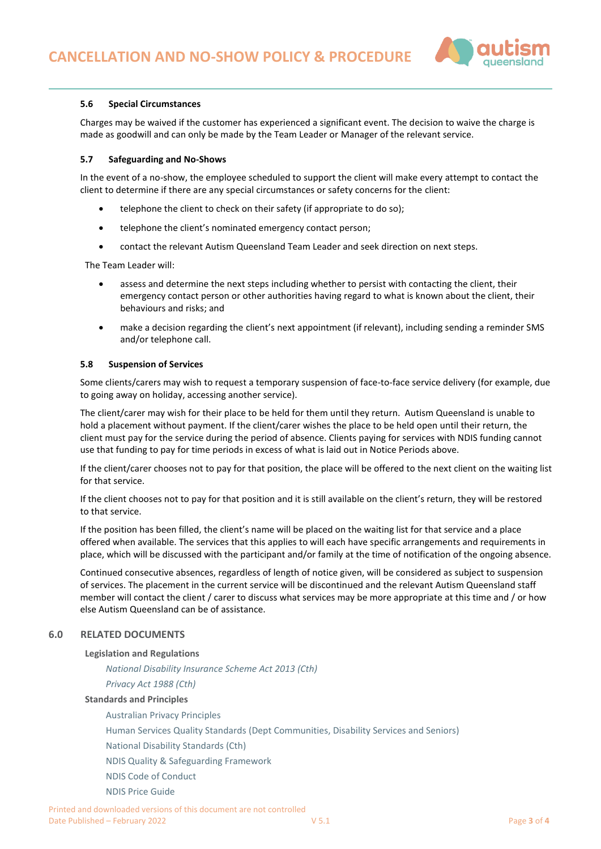

## **5.6 Special Circumstances**

Charges may be waived if the customer has experienced a significant event. The decision to waive the charge is made as goodwill and can only be made by the Team Leader or Manager of the relevant service.

## <span id="page-2-0"></span>**5.7 Safeguarding and No-Shows**

In the event of a no-show, the employee scheduled to support the client will make every attempt to contact the client to determine if there are any special circumstances or safety concerns for the client:

- telephone the client to check on their safety (if appropriate to do so);
- telephone the client's nominated emergency contact person;
- contact the relevant Autism Queensland Team Leader and seek direction on next steps.

The Team Leader will:

- assess and determine the next steps including whether to persist with contacting the client, their emergency contact person or other authorities having regard to what is known about the client, their behaviours and risks; and
- make a decision regarding the client's next appointment (if relevant), including sending a reminder SMS and/or telephone call.

## **5.8 Suspension of Services**

Some clients/carers may wish to request a temporary suspension of face-to-face service delivery (for example, due to going away on holiday, accessing another service).

The client/carer may wish for their place to be held for them until they return. Autism Queensland is unable to hold a placement without payment. If the client/carer wishes the place to be held open until their return, the client must pay for the service during the period of absence. Clients paying for services with NDIS funding cannot use that funding to pay for time periods in excess of what is laid out in Notice Periods above.

If the client/carer chooses not to pay for that position, the place will be offered to the next client on the waiting list for that service.

If the client chooses not to pay for that position and it is still available on the client's return, they will be restored to that service.

If the position has been filled, the client's name will be placed on the waiting list for that service and a place offered when available. The services that this applies to will each have specific arrangements and requirements in place, which will be discussed with the participant and/or family at the time of notification of the ongoing absence.

Continued consecutive absences, regardless of length of notice given, will be considered as subject to suspension of services. The placement in the current service will be discontinued and the relevant Autism Queensland staff member will contact the client / carer to discuss what services may be more appropriate at this time and / or how else Autism Queensland can be of assistance.

# **6.0 RELATED DOCUMENTS**

## **Legislation and Regulations**

*[National Disability Insurance Scheme Act 2013 \(Cth\)](https://www.legislation.gov.au/Details/C2019C00332)*

*[Privacy Act 1988 \(Cth\)](https://www.legislation.gov.au/Details/C2017C00283)*

## **Standards and Principles**

[Australian Privacy Principles](https://www.oaic.gov.au/individuals/privacy-fact-sheets/general/privacy-fact-sheet-17-australian-privacy-principles) [Human Services Quality Standards](https://www.communities.qld.gov.au/gateway/funding-grants/human-services-quality-framework/overview-framework) (Dept Communities, Disability Services and Seniors) [National Disability Standards \(Cth\)](https://www.dss.gov.au/our-responsibilities/disability-and-carers/standards-and-quality-assurance/national-standards-for-disability-services) [NDIS Quality & Safeguarding Framework](https://www.dss.gov.au/our-responsibilities/disability-and-carers/standards-and-quality-assurance/national-standards-for-disability-services) [NDIS Code of Conduct](https://www.ndiscommission.gov.au/workers/ndis-code-conduct) [NDIS Price Guide](https://www.ndis.gov.au/providers/price-guides-and-pricing)